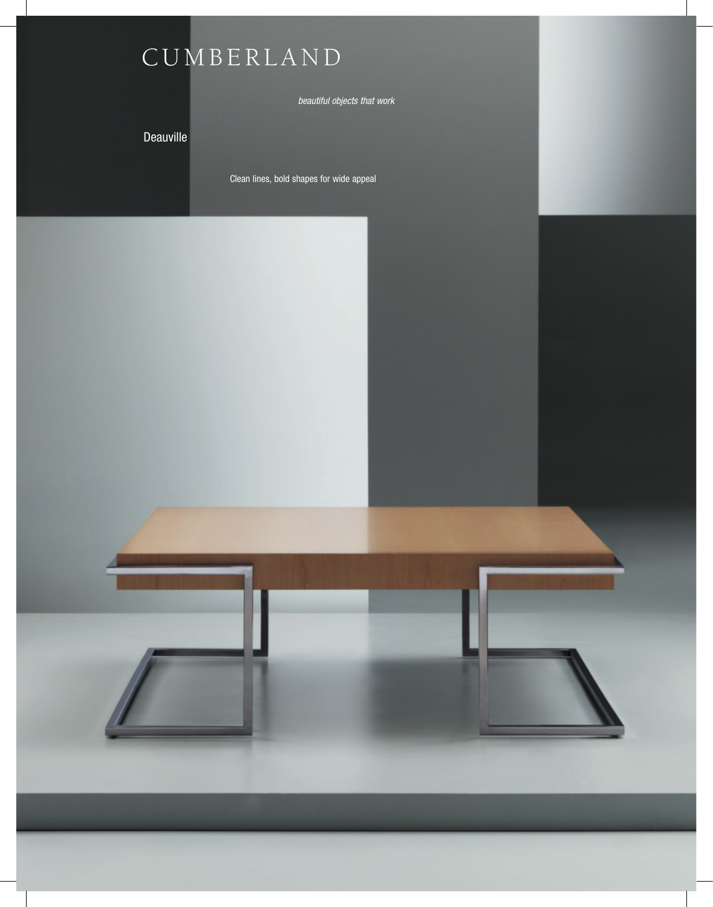

*beautiful objects that work*

Deauville

Clean lines, bold shapes for wide appeal